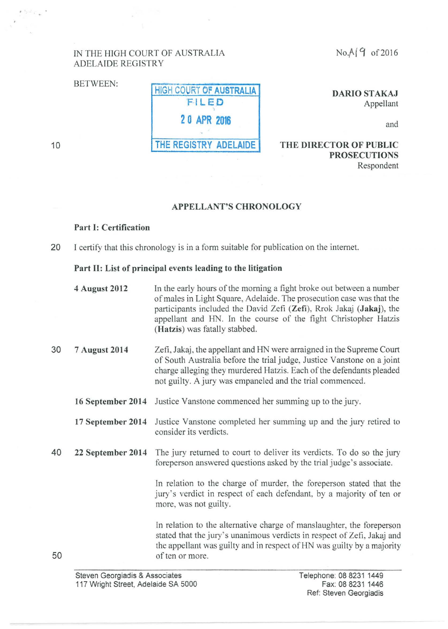$No.A$  (9 of 2016)

#### IN THE HIGH COURT OF AUSTRALIA ADELAIDE REGISTRY

# BETWEEN: HIGH COURT OF AUSTRALIA F ILED **2 0 APR 2016**  THE REGISTRY ADELAIDE

DARIO STAKAJ Appellant

and

#### 10

50

THE DIRECTOR OF PUBLIC PROSECUTIONS Respondent

## APPELLANT'S CHRONOLOGY

## Part 1: Certification

20 I certify that this chronology is in a form suitable for publication on the intemet.

#### Part Il: List of principal events leading to the litigation

- 4 August 2012 In the early hours of the morning a fight broke out between a number of males in Light Square, Adelaide. The prosecution case was that the participants included the David Zefi (Zefi), Rrok Jakaj (Jakaj), the appellant and HN. In the course of the fight Christopher Hatzis (Hatzis) was fatally stabbed.
- 30 7 August 2014 Zefi , Jakaj, the appellant and HN were arraigned in the Supreme Court of South Australia before the trial judge, Justice Vanstone on a joint charge alleging they murdered Hatzis. Each of the defendants pleaded not guilty. A jury was empaneled and the trial commenced.
	- 16 September 2014 Justice Vanstone commenced her summing up to the jury.
	- 17 September 2014 Justice Vanstone completed her summing up and the jury retired to consider its verdicts.
- 40 22 September 2014 The jury returned to court to deliver its verdicts. To do so the jury foreperson answered questions asked by the trial judge's associate.

In relation to the charge of murder, the foreperson stated that the jury's verdict in respect of each defendant. by a majority of ten or more, was not guilty.

In relation to the alternative charge of manslaughter, the foreperson stated that the jury's unanimous verdicts in respect of Zefi, Jakaj and the appellant was guilty and in respect of HN was guilty by a majority of ten or more.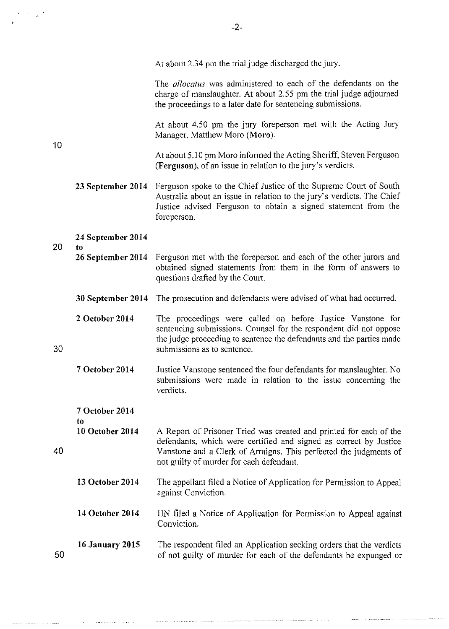|    |                          | The <i>allocatus</i> was administered to each of the defendants on the<br>charge of manslaughter. At about 2.55 pm the trial judge adjourned<br>the proceedings to a later date for sentencing submissions.                                              |
|----|--------------------------|----------------------------------------------------------------------------------------------------------------------------------------------------------------------------------------------------------------------------------------------------------|
| 10 |                          | At about 4.50 pm the jury foreperson met with the Acting Jury<br>Manager, Matthew Moro (Moro).                                                                                                                                                           |
|    |                          | At about 5.10 pm Moro informed the Acting Sheriff, Steven Ferguson<br>(Ferguson), of an issue in relation to the jury's verdicts.                                                                                                                        |
|    | 23 September 2014        | Ferguson spoke to the Chief Justice of the Supreme Court of South<br>Australia about an issue in relation to the jury's verdicts. The Chief<br>Justice advised Ferguson to obtain a signed statement from the<br>foreperson.                             |
| 20 | 24 September 2014        |                                                                                                                                                                                                                                                          |
|    | to.<br>26 September 2014 | Ferguson met with the foreperson and each of the other jurors and<br>obtained signed statements from them in the form of answers to<br>questions drafted by the Court.                                                                                   |
|    | 30 September 2014        | The prosecution and defendants were advised of what had occurred.                                                                                                                                                                                        |
| 30 | 2 October 2014           | The proceedings were called on before Justice Vanstone for<br>sentencing submissions. Counsel for the respondent did not oppose<br>the judge proceeding to sentence the defendants and the parties made<br>submissions as to sentence.                   |
|    | 7 October 2014           | Justice Vanstone sentenced the four defendants for manslaughter. No<br>submissions were made in relation to the issue concerning the<br>verdicts.                                                                                                        |
|    | 7 October 2014           |                                                                                                                                                                                                                                                          |
| 40 | t0<br>10 October 2014    | A Report of Prisoner Tried was created and printed for each of the<br>defendants, which were certified and signed as correct by Justice<br>Vanstone and a Clerk of Arraigns. This perfected the judgments of<br>not guilty of murder for each defendant. |
|    | 13 October 2014          | The appellant filed a Notice of Application for Permission to Appeal<br>against Conviction.                                                                                                                                                              |
|    | 14 October 2014          | HN filed a Notice of Application for Permission to Appeal against<br>Conviction.                                                                                                                                                                         |
| 50 | <b>16 January 2015</b>   | The respondent filed an Application seeking orders that the verdicts<br>of not guilty of murder for each of the defendants be expunged or                                                                                                                |

 $\label{eq:2} \begin{array}{cc} \mathbf{y} & \mathbf{y} & \mathbf{y} \\ \mathbf{y} & \mathbf{y} & \mathbf{y} \\ \mathbf{y} & \mathbf{y} & \mathbf{y} \end{array}$ 

 $\cdot$ 

At about 2.34 pm the trial judge discharged the jury.